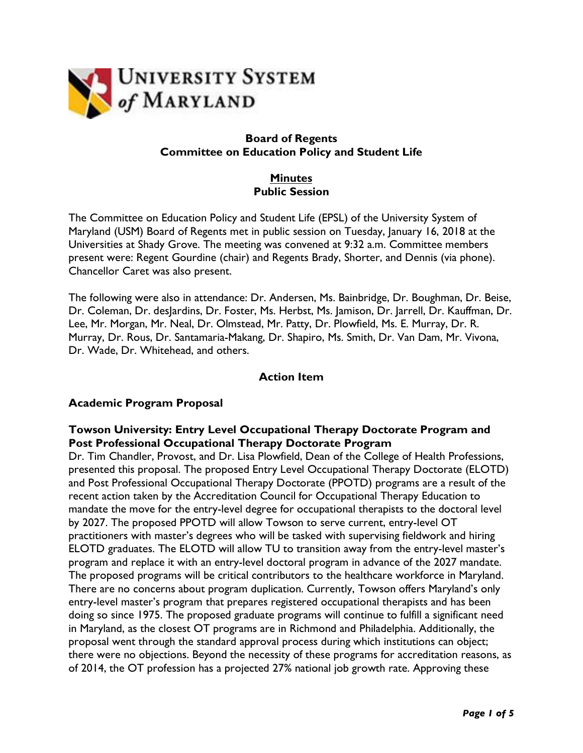

# **Board of Regents Committee on Education Policy and Student Life**

# **Minutes Public Session**

The Committee on Education Policy and Student Life (EPSL) of the University System of Maryland (USM) Board of Regents met in public session on Tuesday, January 16, 2018 at the Universities at Shady Grove. The meeting was convened at 9:32 a.m. Committee members present were: Regent Gourdine (chair) and Regents Brady, Shorter, and Dennis (via phone). Chancellor Caret was also present.

The following were also in attendance: Dr. Andersen, Ms. Bainbridge, Dr. Boughman, Dr. Beise, Dr. Coleman, Dr. desJardins, Dr. Foster, Ms. Herbst, Ms. Jamison, Dr. Jarrell, Dr. Kauffman, Dr. Lee, Mr. Morgan, Mr. Neal, Dr. Olmstead, Mr. Patty, Dr. Plowfield, Ms. E. Murray, Dr. R. Murray, Dr. Rous, Dr. Santamaria-Makang, Dr. Shapiro, Ms. Smith, Dr. Van Dam, Mr. Vivona, Dr. Wade, Dr. Whitehead, and others.

# **Action Item**

# **Academic Program Proposal**

# **Towson University: Entry Level Occupational Therapy Doctorate Program and Post Professional Occupational Therapy Doctorate Program**

Dr. Tim Chandler, Provost, and Dr. Lisa Plowfield, Dean of the College of Health Professions, presented this proposal. The proposed Entry Level Occupational Therapy Doctorate (ELOTD) and Post Professional Occupational Therapy Doctorate (PPOTD) programs are a result of the recent action taken by the Accreditation Council for Occupational Therapy Education to mandate the move for the entry-level degree for occupational therapists to the doctoral level by 2027. The proposed PPOTD will allow Towson to serve current, entry-level OT practitioners with master's degrees who will be tasked with supervising fieldwork and hiring ELOTD graduates. The ELOTD will allow TU to transition away from the entry-level master's program and replace it with an entry-level doctoral program in advance of the 2027 mandate. The proposed programs will be critical contributors to the healthcare workforce in Maryland. There are no concerns about program duplication. Currently, Towson offers Maryland's only entry-level master's program that prepares registered occupational therapists and has been doing so since 1975. The proposed graduate programs will continue to fulfill a significant need in Maryland, as the closest OT programs are in Richmond and Philadelphia. Additionally, the proposal went through the standard approval process during which institutions can object; there were no objections. Beyond the necessity of these programs for accreditation reasons, as of 2014, the OT profession has a projected 27% national job growth rate. Approving these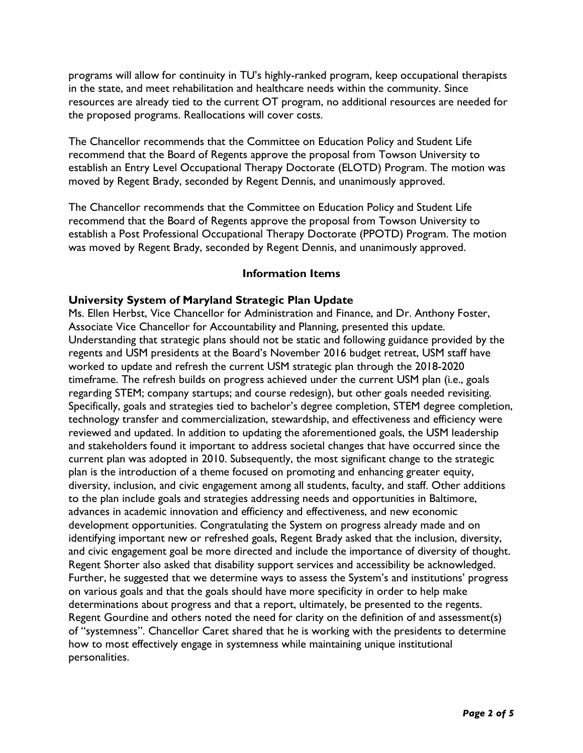programs will allow for continuity in TU's highly-ranked program, keep occupational therapists in the state, and meet rehabilitation and healthcare needs within the community. Since resources are already tied to the current OT program, no additional resources are needed for the proposed programs. Reallocations will cover costs.

The Chancellor recommends that the Committee on Education Policy and Student Life recommend that the Board of Regents approve the proposal from Towson University to establish an Entry Level Occupational Therapy Doctorate (ELOTD) Program. The motion was moved by Regent Brady, seconded by Regent Dennis, and unanimously approved.

The Chancellor recommends that the Committee on Education Policy and Student Life recommend that the Board of Regents approve the proposal from Towson University to establish a Post Professional Occupational Therapy Doctorate (PPOTD) Program. The motion was moved by Regent Brady, seconded by Regent Dennis, and unanimously approved.

#### **Information Items**

#### **University System of Maryland Strategic Plan Update**

Ms. Ellen Herbst, Vice Chancellor for Administration and Finance, and Dr. Anthony Foster, Associate Vice Chancellor for Accountability and Planning, presented this update. Understanding that strategic plans should not be static and following guidance provided by the regents and USM presidents at the Board's November 2016 budget retreat, USM staff have worked to update and refresh the current USM strategic plan through the 2018-2020 timeframe. The refresh builds on progress achieved under the current USM plan (i.e., goals regarding STEM; company startups; and course redesign), but other goals needed revisiting. Specifically, goals and strategies tied to bachelor's degree completion, STEM degree completion, technology transfer and commercialization, stewardship, and effectiveness and efficiency were reviewed and updated. In addition to updating the aforementioned goals, the USM leadership and stakeholders found it important to address societal changes that have occurred since the current plan was adopted in 2010. Subsequently, the most significant change to the strategic plan is the introduction of a theme focused on promoting and enhancing greater equity, diversity, inclusion, and civic engagement among all students, faculty, and staff. Other additions to the plan include goals and strategies addressing needs and opportunities in Baltimore, advances in academic innovation and efficiency and effectiveness, and new economic development opportunities. Congratulating the System on progress already made and on identifying important new or refreshed goals, Regent Brady asked that the inclusion, diversity, and civic engagement goal be more directed and include the importance of diversity of thought. Regent Shorter also asked that disability support services and accessibility be acknowledged. Further, he suggested that we determine ways to assess the System's and institutions' progress on various goals and that the goals should have more specificity in order to help make determinations about progress and that a report, ultimately, be presented to the regents. Regent Gourdine and others noted the need for clarity on the definition of and assessment(s) of "systemness". Chancellor Caret shared that he is working with the presidents to determine how to most effectively engage in systemness while maintaining unique institutional personalities.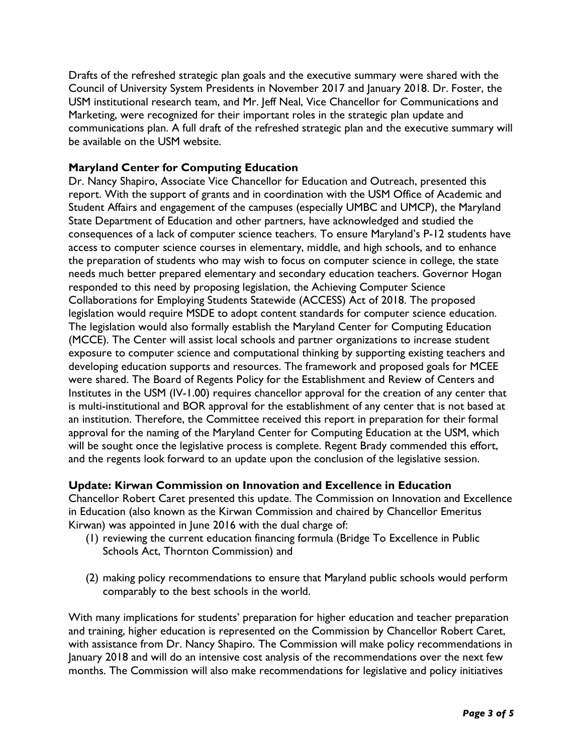Drafts of the refreshed strategic plan goals and the executive summary were shared with the Council of University System Presidents in November 2017 and January 2018. Dr. Foster, the USM institutional research team, and Mr. Jeff Neal, Vice Chancellor for Communications and Marketing, were recognized for their important roles in the strategic plan update and communications plan. A full draft of the refreshed strategic plan and the executive summary will be available on the USM website.

# **Maryland Center for Computing Education**

Dr. Nancy Shapiro, Associate Vice Chancellor for Education and Outreach, presented this report. With the support of grants and in coordination with the USM Office of Academic and Student Affairs and engagement of the campuses (especially UMBC and UMCP), the Maryland State Department of Education and other partners, have acknowledged and studied the consequences of a lack of computer science teachers. To ensure Maryland's P-12 students have access to computer science courses in elementary, middle, and high schools, and to enhance the preparation of students who may wish to focus on computer science in college, the state needs much better prepared elementary and secondary education teachers. Governor Hogan responded to this need by proposing legislation, the Achieving Computer Science Collaborations for Employing Students Statewide (ACCESS) Act of 2018. The proposed legislation would require MSDE to adopt content standards for computer science education. The legislation would also formally establish the Maryland Center for Computing Education (MCCE). The Center will assist local schools and partner organizations to increase student exposure to computer science and computational thinking by supporting existing teachers and developing education supports and resources. The framework and proposed goals for MCEE were shared. The Board of Regents Policy for the Establishment and Review of Centers and Institutes in the USM (IV-1.00) requires chancellor approval for the creation of any center that is multi-institutional and BOR approval for the establishment of any center that is not based at an institution. Therefore, the Committee received this report in preparation for their formal approval for the naming of the Maryland Center for Computing Education at the USM, which will be sought once the legislative process is complete. Regent Brady commended this effort, and the regents look forward to an update upon the conclusion of the legislative session.

# **Update: Kirwan Commission on Innovation and Excellence in Education**

Chancellor Robert Caret presented this update. The Commission on Innovation and Excellence in Education (also known as the Kirwan Commission and chaired by Chancellor Emeritus Kirwan) was appointed in June 2016 with the dual charge of:

- (1) reviewing the current education financing formula (Bridge To Excellence in Public Schools Act, Thornton Commission) and
- (2) making policy recommendations to ensure that Maryland public schools would perform comparably to the best schools in the world.

With many implications for students' preparation for higher education and teacher preparation and training, higher education is represented on the Commission by Chancellor Robert Caret, with assistance from Dr. Nancy Shapiro. The Commission will make policy recommendations in January 2018 and will do an intensive cost analysis of the recommendations over the next few months. The Commission will also make recommendations for legislative and policy initiatives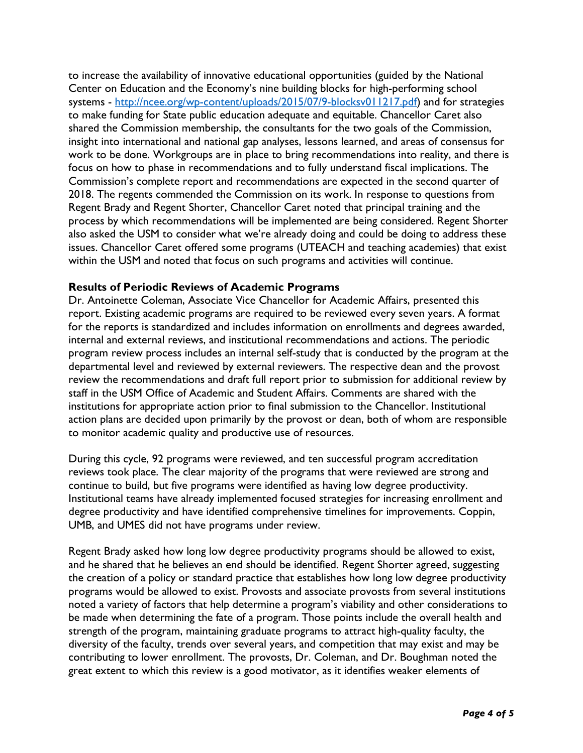to increase the availability of innovative educational opportunities (guided by the National Center on Education and the Economy's nine building blocks for high-performing school systems - http://ncee.org/wp-content/uploads/2015/07/9-blocksv011217.pdf) and for strategies to make funding for State public education adequate and equitable. Chancellor Caret also shared the Commission membership, the consultants for the two goals of the Commission, insight into international and national gap analyses, lessons learned, and areas of consensus for work to be done. Workgroups are in place to bring recommendations into reality, and there is focus on how to phase in recommendations and to fully understand fiscal implications. The Commission's complete report and recommendations are expected in the second quarter of 2018. The regents commended the Commission on its work. In response to questions from Regent Brady and Regent Shorter, Chancellor Caret noted that principal training and the process by which recommendations will be implemented are being considered. Regent Shorter also asked the USM to consider what we're already doing and could be doing to address these issues. Chancellor Caret offered some programs (UTEACH and teaching academies) that exist within the USM and noted that focus on such programs and activities will continue.

#### **Results of Periodic Reviews of Academic Programs**

Dr. Antoinette Coleman, Associate Vice Chancellor for Academic Affairs, presented this report. Existing academic programs are required to be reviewed every seven years. A format for the reports is standardized and includes information on enrollments and degrees awarded, internal and external reviews, and institutional recommendations and actions. The periodic program review process includes an internal self-study that is conducted by the program at the departmental level and reviewed by external reviewers. The respective dean and the provost review the recommendations and draft full report prior to submission for additional review by staff in the USM Office of Academic and Student Affairs. Comments are shared with the institutions for appropriate action prior to final submission to the Chancellor. Institutional action plans are decided upon primarily by the provost or dean, both of whom are responsible to monitor academic quality and productive use of resources.

During this cycle, 92 programs were reviewed, and ten successful program accreditation reviews took place. The clear majority of the programs that were reviewed are strong and continue to build, but five programs were identified as having low degree productivity. Institutional teams have already implemented focused strategies for increasing enrollment and degree productivity and have identified comprehensive timelines for improvements. Coppin, UMB, and UMES did not have programs under review.

Regent Brady asked how long low degree productivity programs should be allowed to exist, and he shared that he believes an end should be identified. Regent Shorter agreed, suggesting the creation of a policy or standard practice that establishes how long low degree productivity programs would be allowed to exist. Provosts and associate provosts from several institutions noted a variety of factors that help determine a program's viability and other considerations to be made when determining the fate of a program. Those points include the overall health and strength of the program, maintaining graduate programs to attract high-quality faculty, the diversity of the faculty, trends over several years, and competition that may exist and may be contributing to lower enrollment. The provosts, Dr. Coleman, and Dr. Boughman noted the great extent to which this review is a good motivator, as it identifies weaker elements of